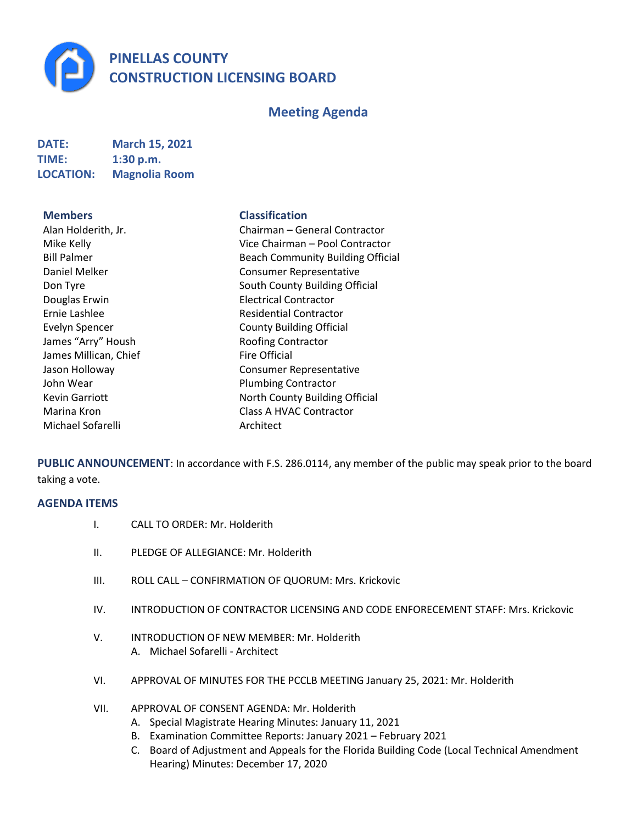**PINELLAS COUNTY CONSTRUCTION LICENSING BOARD**

# **Meeting Agenda**

| <b>DATE:</b>     | <b>March 15, 2021</b> |
|------------------|-----------------------|
| <b>TIME:</b>     | 1:30 p.m.             |
| <b>LOCATION:</b> | <b>Magnolia Room</b>  |

James Millican, Chief Fire Official Michael Sofarelli Architect

# **Members Classification**

Alan Holderith, Jr. Chairman – General Contractor Mike Kelly **Vice Chairman** – Pool Contractor Bill Palmer Building Official Daniel Melker Consumer Representative Don Tyre **South County Building Official** South County Building Official Douglas Erwin Electrical Contractor Ernie Lashlee **Residential Contractor** Residential Contractor Evelyn Spencer **County Building Official** James "Arry" Housh Roofing Contractor Jason Holloway Consumer Representative John Wear **Plumbing Contractor** Kevin Garriott North County Building Official Marina Kron **Class A HVAC Contractor** 

**PUBLIC ANNOUNCEMENT**: In accordance with F.S. 286.0114, any member of the public may speak prior to the board taking a vote.

# **AGENDA ITEMS**

- I. CALL TO ORDER: Mr. Holderith
- II. PLEDGE OF ALLEGIANCE: Mr. Holderith
- III. ROLL CALL CONFIRMATION OF QUORUM: Mrs. Krickovic
- IV. INTRODUCTION OF CONTRACTOR LICENSING AND CODE ENFORECEMENT STAFF: Mrs. Krickovic
- V. INTRODUCTION OF NEW MEMBER: Mr. Holderith A. Michael Sofarelli - Architect
- VI. APPROVAL OF MINUTES FOR THE PCCLB MEETING January 25, 2021: Mr. Holderith
- VII. APPROVAL OF CONSENT AGENDA: Mr. Holderith
	- A. Special Magistrate Hearing Minutes: January 11, 2021
	- B. Examination Committee Reports: January 2021 February 2021
	- C. Board of Adjustment and Appeals for the Florida Building Code (Local Technical Amendment Hearing) Minutes: December 17, 2020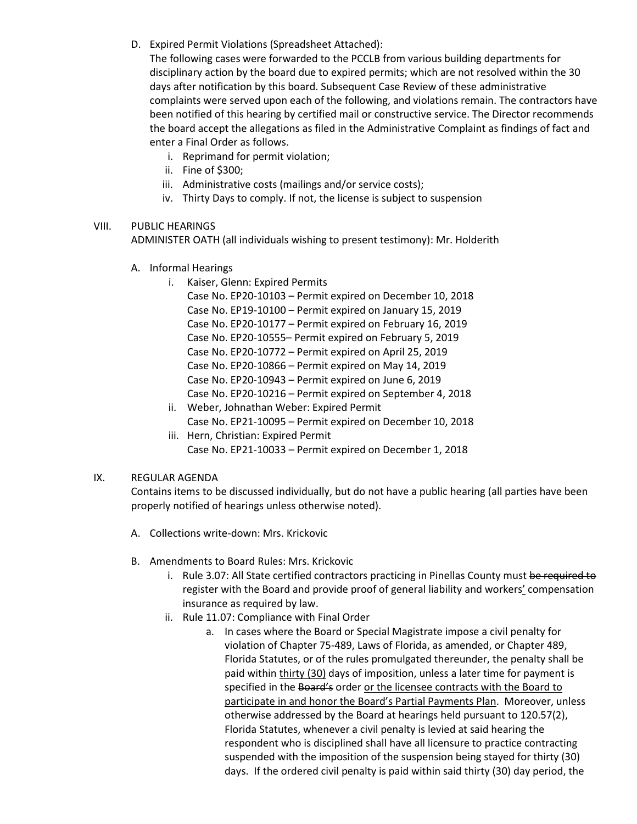D. Expired Permit Violations (Spreadsheet Attached):

The following cases were forwarded to the PCCLB from various building departments for disciplinary action by the board due to expired permits; which are not resolved within the 30 days after notification by this board. Subsequent Case Review of these administrative complaints were served upon each of the following, and violations remain. The contractors have been notified of this hearing by certified mail or constructive service. The Director recommends the board accept the allegations as filed in the Administrative Complaint as findings of fact and enter a Final Order as follows.

- i. Reprimand for permit violation;
- ii. Fine of \$300;
- iii. Administrative costs (mailings and/or service costs);
- iv. Thirty Days to comply. If not, the license is subject to suspension

## VIII. PUBLIC HEARINGS

ADMINISTER OATH (all individuals wishing to present testimony): Mr. Holderith

- A. Informal Hearings
	- i. Kaiser, Glenn: Expired Permits

Case No. EP20-10103 – Permit expired on December 10, 2018 Case No. EP19-10100 – Permit expired on January 15, 2019 Case No. EP20-10177 – Permit expired on February 16, 2019 Case No. EP20-10555– Permit expired on February 5, 2019 Case No. EP20-10772 – Permit expired on April 25, 2019 Case No. EP20-10866 – Permit expired on May 14, 2019 Case No. EP20-10943 – Permit expired on June 6, 2019 Case No. EP20-10216 – Permit expired on September 4, 2018

- ii. Weber, Johnathan Weber: Expired Permit Case No. EP21-10095 – Permit expired on December 10, 2018
- iii. Hern, Christian: Expired Permit Case No. EP21-10033 – Permit expired on December 1, 2018

## IX. REGULAR AGENDA

Contains items to be discussed individually, but do not have a public hearing (all parties have been properly notified of hearings unless otherwise noted).

- A. Collections write-down: Mrs. Krickovic
- B. Amendments to Board Rules: Mrs. Krickovic
	- i. Rule 3.07: All State certified contractors practicing in Pinellas County must be required to register with the Board and provide proof of general liability and workers' compensation insurance as required by law.
	- ii. Rule 11.07: Compliance with Final Order
		- a. In cases where the Board or Special Magistrate impose a civil penalty for violation of Chapter 75-489, Laws of Florida, as amended, or Chapter 489, Florida Statutes, or of the rules promulgated thereunder, the penalty shall be paid within thirty (30) days of imposition, unless a later time for payment is specified in the Board's order or the licensee contracts with the Board to participate in and honor the Board's Partial Payments Plan. Moreover, unless otherwise addressed by the Board at hearings held pursuant to 120.57(2), Florida Statutes, whenever a civil penalty is levied at said hearing the respondent who is disciplined shall have all licensure to practice contracting suspended with the imposition of the suspension being stayed for thirty (30) days. If the ordered civil penalty is paid within said thirty (30) day period, the